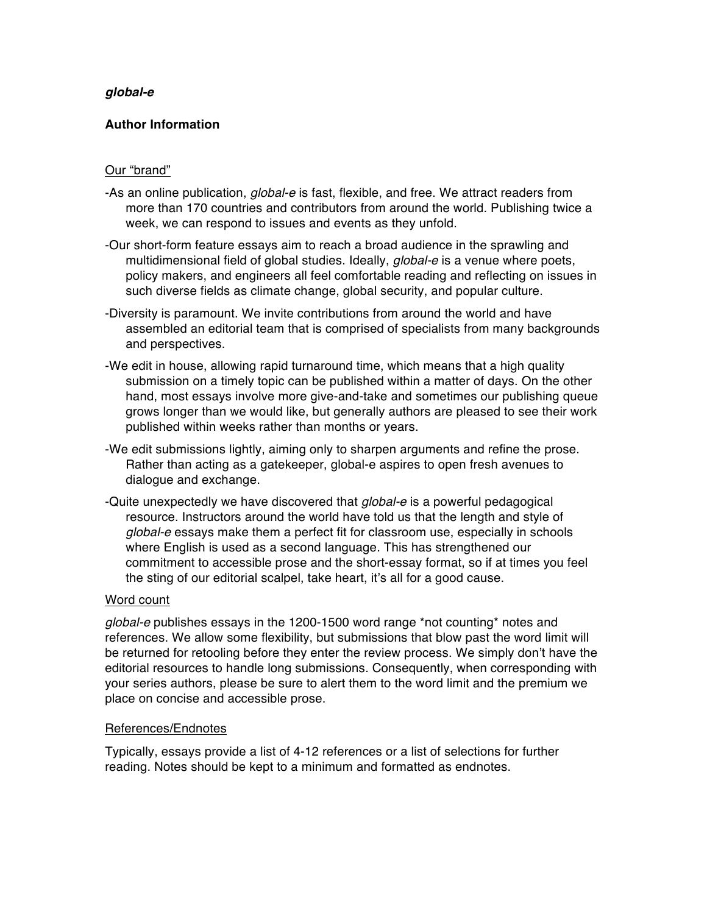# *global-e*

# **Author Information**

## Our "brand"

- -As an online publication, *global-e* is fast, flexible, and free. We attract readers from more than 170 countries and contributors from around the world. Publishing twice a week, we can respond to issues and events as they unfold.
- -Our short-form feature essays aim to reach a broad audience in the sprawling and multidimensional field of global studies. Ideally, *global-e* is a venue where poets, policy makers, and engineers all feel comfortable reading and reflecting on issues in such diverse fields as climate change, global security, and popular culture.
- -Diversity is paramount. We invite contributions from around the world and have assembled an editorial team that is comprised of specialists from many backgrounds and perspectives.
- -We edit in house, allowing rapid turnaround time, which means that a high quality submission on a timely topic can be published within a matter of days. On the other hand, most essays involve more give-and-take and sometimes our publishing queue grows longer than we would like, but generally authors are pleased to see their work published within weeks rather than months or years.
- -We edit submissions lightly, aiming only to sharpen arguments and refine the prose. Rather than acting as a gatekeeper, global-e aspires to open fresh avenues to dialogue and exchange.
- -Quite unexpectedly we have discovered that *global-e* is a powerful pedagogical resource. Instructors around the world have told us that the length and style of *global-e* essays make them a perfect fit for classroom use, especially in schools where English is used as a second language. This has strengthened our commitment to accessible prose and the short-essay format, so if at times you feel the sting of our editorial scalpel, take heart, it's all for a good cause.

#### Word count

*global-e* publishes essays in the 1200-1500 word range \*not counting\* notes and references. We allow some flexibility, but submissions that blow past the word limit will be returned for retooling before they enter the review process. We simply don't have the editorial resources to handle long submissions. Consequently, when corresponding with your series authors, please be sure to alert them to the word limit and the premium we place on concise and accessible prose.

#### References/Endnotes

Typically, essays provide a list of 4-12 references or a list of selections for further reading. Notes should be kept to a minimum and formatted as endnotes.